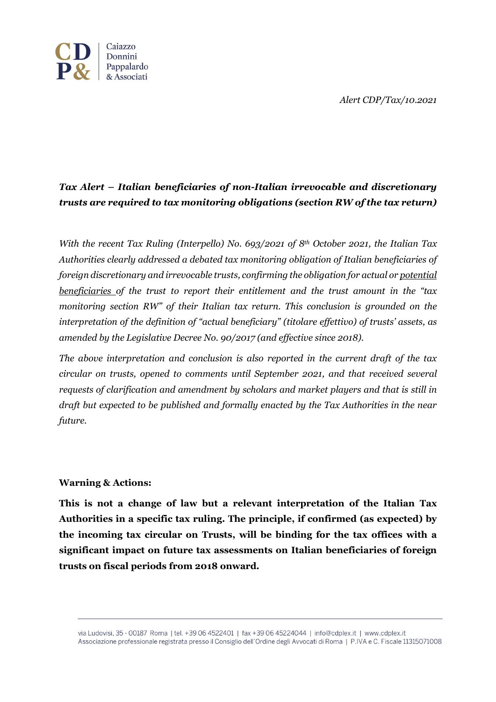*Alert CDP/Tax/10.2021*



## *Tax Alert – Italian beneficiaries of non-Italian irrevocable and discretionary trusts are required to tax monitoring obligations (section RW of the tax return)*

*With the recent Tax Ruling (Interpello) No. 693/2021 of 8th October 2021, the Italian Tax Authorities clearly addressed a debated tax monitoring obligation of Italian beneficiaries of foreign discretionary and irrevocable trusts, confirming the obligation for actual or potential beneficiaries of the trust to report their entitlement and the trust amount in the "tax monitoring section RW" of their Italian tax return. This conclusion is grounded on the interpretation of the definition of "actual beneficiary" (titolare effettivo) of trusts' assets, as amended by the Legislative Decree No. 90/2017 (and effective since 2018).* 

*The above interpretation and conclusion is also reported in the current draft of the tax circular on trusts, opened to comments until September 2021, and that received several requests of clarification and amendment by scholars and market players and that is still in draft but expected to be published and formally enacted by the Tax Authorities in the near future.*

## **Warning & Actions:**

**This is not a change of law but a relevant interpretation of the Italian Tax Authorities in a specific tax ruling. The principle, if confirmed (as expected) by the incoming tax circular on Trusts, will be binding for the tax offices with a significant impact on future tax assessments on Italian beneficiaries of foreign trusts on fiscal periods from 2018 onward.**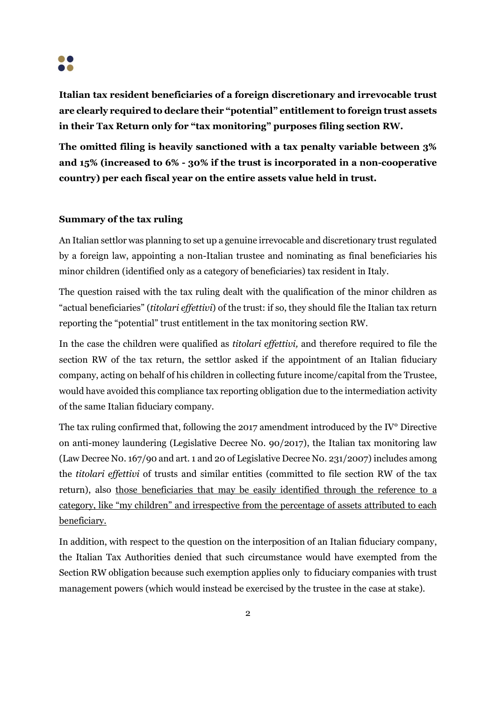

**Italian tax resident beneficiaries of a foreign discretionary and irrevocable trust are clearly required to declare their "potential" entitlement to foreign trust assets in their Tax Return only for "tax monitoring" purposes filing section RW.**

**The omitted filing is heavily sanctioned with a tax penalty variable between 3% and 15% (increased to 6% - 30% if the trust is incorporated in a non-cooperative country) per each fiscal year on the entire assets value held in trust.** 

## **Summary of the tax ruling**

An Italian settlor was planning to set up a genuine irrevocable and discretionary trust regulated by a foreign law, appointing a non-Italian trustee and nominating as final beneficiaries his minor children (identified only as a category of beneficiaries) tax resident in Italy.

The question raised with the tax ruling dealt with the qualification of the minor children as "actual beneficiaries" (*titolari effettivi*) of the trust: if so, they should file the Italian tax return reporting the "potential" trust entitlement in the tax monitoring section RW.

In the case the children were qualified as *titolari effettivi,* and therefore required to file the section RW of the tax return, the settlor asked if the appointment of an Italian fiduciary company, acting on behalf of his children in collecting future income/capital from the Trustee, would have avoided this compliance tax reporting obligation due to the intermediation activity of the same Italian fiduciary company.

The tax ruling confirmed that, following the 2017 amendment introduced by the IV° Directive on anti-money laundering (Legislative Decree N0. 90/2017), the Italian tax monitoring law (Law Decree N0. 167/90 and art. 1 and 20 of Legislative Decree N0. 231/2007) includes among the *titolari effettivi* of trusts and similar entities (committed to file section RW of the tax return), also those beneficiaries that may be easily identified through the reference to a category, like "my children" and irrespective from the percentage of assets attributed to each beneficiary.

In addition, with respect to the question on the interposition of an Italian fiduciary company, the Italian Tax Authorities denied that such circumstance would have exempted from the Section RW obligation because such exemption applies only to fiduciary companies with trust management powers (which would instead be exercised by the trustee in the case at stake).